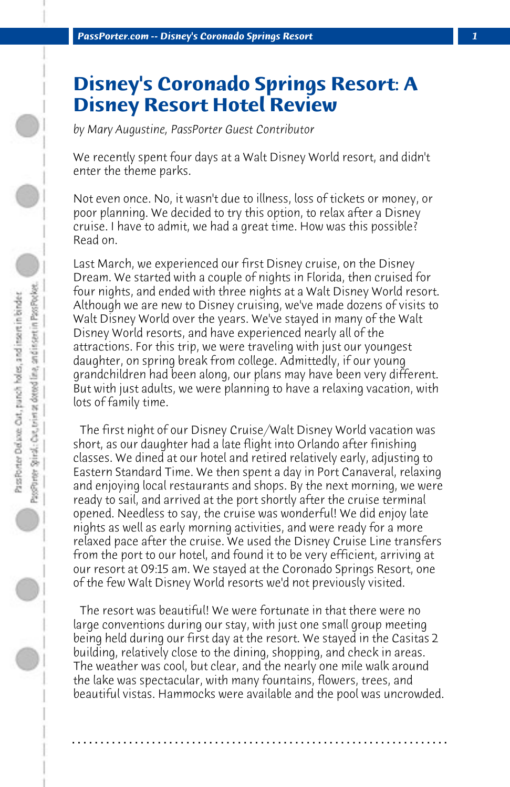## **Disney's Coronado Springs Resort: A Disney Resort Hotel Review**

*by Mary Augustine, PassPorter Guest Contributor*

We recently spent four days at a Walt Disney World resort, and didn't enter the theme parks.

Not even once. No, it wasn't due to illness, loss of tickets or money, or poor planning. We decided to try this option, to relax after a Disney cruise. I have to admit, we had a great time. How was this possible? Read on.

Last March, we experienced our first Disney cruise, on the Disney Dream. We started with a couple of nights in Florida, then cruised for four nights, and ended with three nights at a Walt Disney World resort. Although we are new to Disney cruising, we've made dozens of visits to Walt Disney World over the years. We've stayed in many of the Walt Disney World resorts, and have experienced nearly all of the attractions. For this trip, we were traveling with just our youngest daughter, on spring break from college. Admittedly, if our young grandchildren had been along, our plans may have been very different. But with just adults, we were planning to have a relaxing vacation, with lots of family time.

 The first night of our Disney Cruise/Walt Disney World vacation was short, as our daughter had a late flight into Orlando after finishing classes. We dined at our hotel and retired relatively early, adjusting to Eastern Standard Time. We then spent a day in Port Canaveral, relaxing and enjoying local restaurants and shops. By the next morning, we were ready to sail, and arrived at the port shortly after the cruise terminal opened. Needless to say, the cruise was wonderful! We did enjoy late nights as well as early morning activities, and were ready for a more relaxed pace after the cruise. We used the Disney Cruise Line transfers from the port to our hotel, and found it to be very efficient, arriving at our resort at 09:15 am. We stayed at the Coronado Springs Resort, one of the few Walt Disney World resorts we'd not previously visited.

 The resort was beautiful! We were fortunate in that there were no large conventions during our stay, with just one small group meeting being held during our first day at the resort. We stayed in the Casitas 2 building, relatively close to the dining, shopping, and check in areas. The weather was cool, but clear, and the nearly one mile walk around the lake was spectacular, with many fountains, flowers, trees, and beautiful vistas. Hammocks were available and the pool was uncrowded.

**. . . . . . . . . . . . . . . . . . . . . . . . . . . . . . . . . . . . . . . . . . . . . . . . . . . . . . . . . . . . . . . . . .**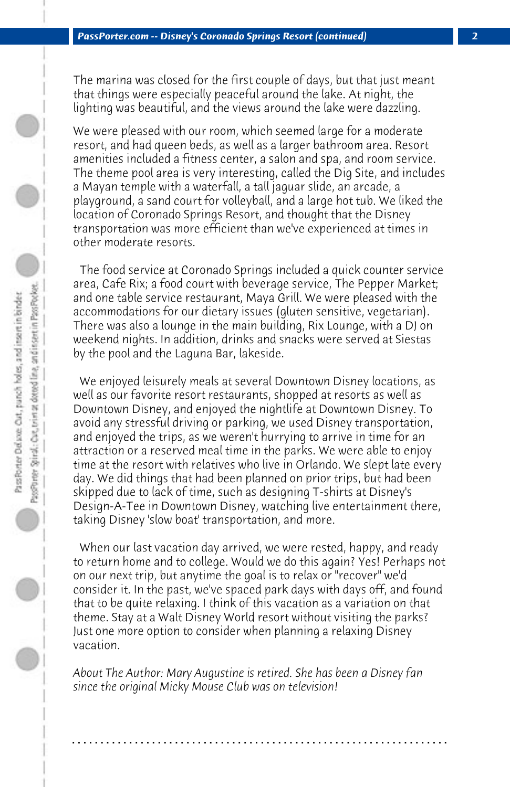The marina was closed for the first couple of days, but that just meant that things were especially peaceful around the lake. At night, the lighting was beautiful, and the views around the lake were dazzling.

We were pleased with our room, which seemed large for a moderate resort, and had queen beds, as well as a larger bathroom area. Resort amenities included a fitness center, a salon and spa, and room service. The theme pool area is very interesting, called the Dig Site, and includes a Mayan temple with a waterfall, a tall jaguar slide, an arcade, a playground, a sand court for volleyball, and a large hot tub. We liked the location of Coronado Springs Resort, and thought that the Disney transportation was more efficient than we've experienced at times in other moderate resorts.

 The food service at Coronado Springs included a quick counter service area, Cafe Rix; a food court with beverage service, The Pepper Market; and one table service restaurant, Maya Grill. We were pleased with the accommodations for our dietary issues (gluten sensitive, vegetarian). There was also a lounge in the main building, Rix Lounge, with a DJ on weekend nights. In addition, drinks and snacks were served at Siestas by the pool and the Laguna Bar, lakeside.

 We enjoyed leisurely meals at several Downtown Disney locations, as well as our favorite resort restaurants, shopped at resorts as well as Downtown Disney, and enjoyed the nightlife at Downtown Disney. To avoid any stressful driving or parking, we used Disney transportation, and enjoyed the trips, as we weren't hurrying to arrive in time for an attraction or a reserved meal time in the parks. We were able to enjoy time at the resort with relatives who live in Orlando. We slept late every day. We did things that had been planned on prior trips, but had been skipped due to lack of time, such as designing T-shirts at Disney's Design-A-Tee in Downtown Disney, watching live entertainment there, taking Disney 'slow boat' transportation, and more.

 When our last vacation day arrived, we were rested, happy, and ready to return home and to college. Would we do this again? Yes! Perhaps not on our next trip, but anytime the goal is to relax or "recover" we'd consider it. In the past, we've spaced park days with days off, and found that to be quite relaxing. I think of this vacation as a variation on that theme. Stay at a Walt Disney World resort without visiting the parks? Just one more option to consider when planning a relaxing Disney vacation.

*About The Author: Mary Augustine is retired. She has been a Disney fan since the original Micky Mouse Club was on television!*

**. . . . . . . . . . . . . . . . . . . . . . . . . . . . . . . . . . . . . . . . . . . . . . . . . . . . . . . . . . . . . . . . . .**